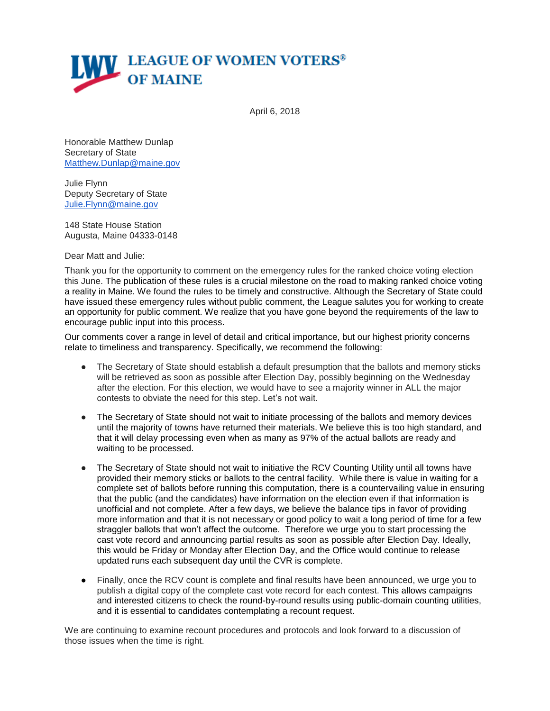

April 6, 2018

Honorable Matthew Dunlap Secretary of State [Matthew.Dunlap@maine.gov](mailto:Matthew.Dunlap@maine.gov)

Julie Flynn Deputy Secretary of State [Julie.Flynn@maine.gov](mailto:Julie.Flynn@maine.gov)

148 State House Station Augusta, Maine 04333-0148

Dear Matt and Julie:

Thank you for the opportunity to comment on the emergency rules for the ranked choice voting election this June. The publication of these rules is a crucial milestone on the road to making ranked choice voting a reality in Maine. We found the rules to be timely and constructive. Although the Secretary of State could have issued these emergency rules without public comment, the League salutes you for working to create an opportunity for public comment. We realize that you have gone beyond the requirements of the law to encourage public input into this process.

Our comments cover a range in level of detail and critical importance, but our highest priority concerns relate to timeliness and transparency. Specifically, we recommend the following:

- The Secretary of State should establish a default presumption that the ballots and memory sticks will be retrieved as soon as possible after Election Day, possibly beginning on the Wednesday after the election. For this election, we would have to see a majority winner in ALL the major contests to obviate the need for this step. Let's not wait.
- The Secretary of State should not wait to initiate processing of the ballots and memory devices until the majority of towns have returned their materials. We believe this is too high standard, and that it will delay processing even when as many as 97% of the actual ballots are ready and waiting to be processed.
- The Secretary of State should not wait to initiative the RCV Counting Utility until all towns have provided their memory sticks or ballots to the central facility. While there is value in waiting for a complete set of ballots before running this computation, there is a countervailing value in ensuring that the public (and the candidates) have information on the election even if that information is unofficial and not complete. After a few days, we believe the balance tips in favor of providing more information and that it is not necessary or good policy to wait a long period of time for a few straggler ballots that won't affect the outcome. Therefore we urge you to start processing the cast vote record and announcing partial results as soon as possible after Election Day. Ideally, this would be Friday or Monday after Election Day, and the Office would continue to release updated runs each subsequent day until the CVR is complete.
- Finally, once the RCV count is complete and final results have been announced, we urge you to publish a digital copy of the complete cast vote record for each contest. This allows campaigns and interested citizens to check the round-by-round results using public-domain counting utilities, and it is essential to candidates contemplating a recount request.

We are continuing to examine recount procedures and protocols and look forward to a discussion of those issues when the time is right.